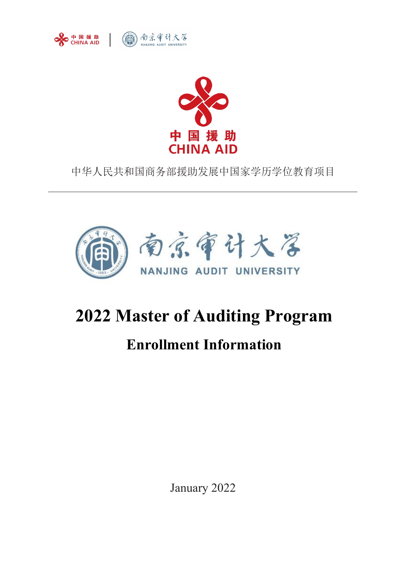



中华人民共和国商务部援助发展中国家学历学位教育项目



# **2022 Master of Auditing Program**

# **Enrollment Information**

January 2022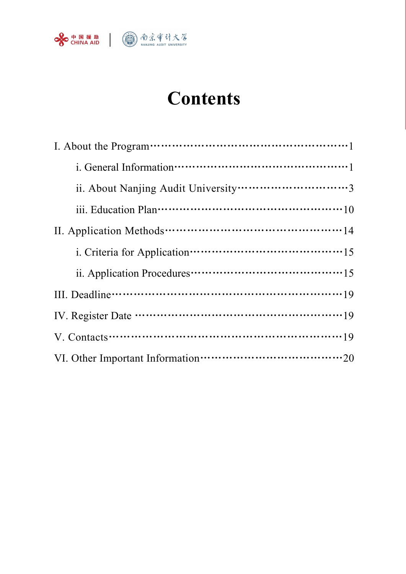

# **Contents**

| ii. Application Procedures…………………………………………15 |
|----------------------------------------------|
|                                              |
|                                              |
|                                              |
|                                              |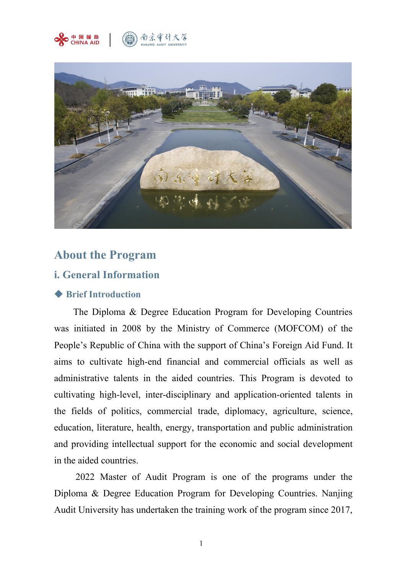



# **About the Program**

## **i. General Information**

#### ◆ **Brief Introduction**

The Diploma & Degree Education Program for Developing Countries was initiated in 2008 by the Ministry of Commerce (MOFCOM) of the People's Republic of China with the support of China's Foreign Aid Fund. It aims to cultivate high-end financial and commercial officials as well as administrative talents in the aided countries. This Program is devoted to cultivating high-level, inter-disciplinary and application-oriented talents in the fields of politics, commercial trade, diplomacy, agriculture, science, education, literature, health, energy, transportation and public administration and providing intellectual support for the economic and social development in the aided countries.

2022 Master of Audit Program is one of the programs under the Diploma & Degree Education Program for Developing Countries. Nanjing Audit University has undertaken the training work of the program since 2017,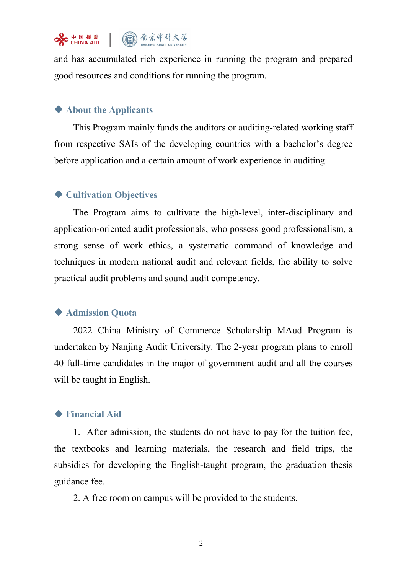

and has accumulated rich experience in running the program and prepared good resources and conditions for running the program.

### ◆ **About the Applicants**

This Program mainly funds the auditors or auditing-related working staff from respective SAIs of the developing countries with a bachelor's degree before application and a certain amount of work experience in auditing.

### ◆ **Cultivation Objectives**

The Program aims to cultivate the high-level, inter-disciplinary and application-oriented audit professionals, who possess good professionalism, a strong sense of work ethics, a systematic command of knowledge and techniques in modern national audit and relevant fields, the ability to solve practical audit problems and sound audit competency.

#### ◆ **Admission Quota**

2022 China Ministry of Commerce Scholarship MAud Program is undertaken by Nanjing Audit University. The 2-year program plans to enroll 40 full-time candidates in the major of government audit and all the courses will be taught in English.

### ◆ **Financial Aid**

1. After admission, the students do not have to pay for the tuition fee, the textbooks and learning materials, the research and field trips, the subsidies for developing the English-taught program, the graduation thesis guidance fee.

2. A free room on campus will be provided to the students.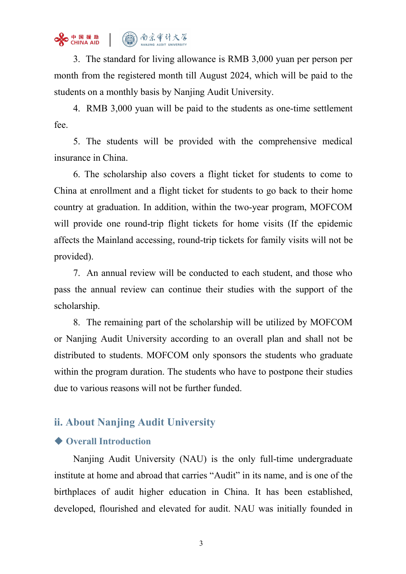

3. The standard for living allowance is RMB 3,000 yuan per person per month from the registered month till August 2024, which will be paid to the students on a monthly basis by Nanjing Audit University.

4. RMB 3,000 yuan will be paid to the students as one-time settlement fee.

5. The students will be provided with the comprehensive medical insurance in China.

6. The scholarship also covers a flight ticket for students to come to China at enrollment and a flight ticket for students to go back to their home country at graduation. In addition, within the two-year program, MOFCOM will provide one round-trip flight tickets for home visits (If the epidemic affects the Mainland accessing, round-trip tickets for family visits will not be provided).

7. An annual review will be conducted to each student, and those who pass the annual review can continue their studies with the support of the scholarship.

8. The remaining part of the scholarship will be utilized by MOFCOM or Nanjing Audit University according to an overall plan and shall not be distributed to students. MOFCOM only sponsors the students who graduate within the program duration. The students who have to postpone their studies due to various reasons will not be further funded.

# **ii. About Nanjing Audit University**

#### ◆ **Overall Introduction**

Nanjing Audit University (NAU) is the only full-time undergraduate institute at home and abroad that carries "Audit" in its name, and is one of the birthplaces of audit higher education in China. It has been established, developed, flourished and elevated for audit. NAU was initially founded in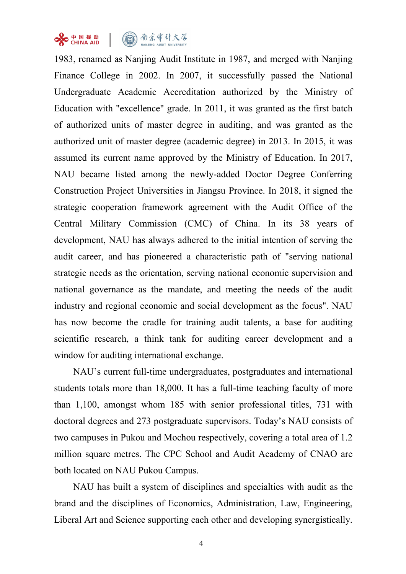



1983, renamed as Nanjing Audit Institute in 1987, and merged with Nanjing Finance College in 2002. In 2007, it successfully passed the National Undergraduate Academic Accreditation authorized by the Ministry of Education with "excellence" grade. In 2011, it was granted as the first batch of authorized units of master degree in auditing, and was granted as the authorized unit of master degree (academic degree) in 2013. In 2015, it was assumed its current name approved by the Ministry of Education. In 2017, NAU became listed among the newly-added Doctor Degree Conferring Construction Project Universities in Jiangsu Province. In 2018, it signed the strategic cooperation framework agreement with the Audit Office of the Central Military Commission (CMC) of China. In its 38 years of development, NAU has always adhered to the initial intention of serving the audit career, and has pioneered a characteristic path of "serving national strategic needs as the orientation, serving national economic supervision and national governance as the mandate, and meeting the needs of the audit industry and regional economic and social development as the focus". NAU has now become the cradle for training audit talents, a base for auditing scientific research, a think tank for auditing career development and a window for auditing international exchange.

NAU's current full-time undergraduates, postgraduates and international students totals more than 18,000. It has a full-time teaching faculty of more than 1,100, amongst whom 185 with senior professional titles, 731 with doctoral degrees and 273 postgraduate supervisors. Today's NAU consists of two campuses in Pukou and Mochou respectively, covering a total area of 1.2 million square metres. The CPC School and Audit Academy of CNAO are both located on NAU Pukou Campus.

NAU has built a system of disciplines and specialties with audit as the brand and the disciplines of Economics, Administration, Law, Engineering, Liberal Art and Science supporting each other and developing synergistically.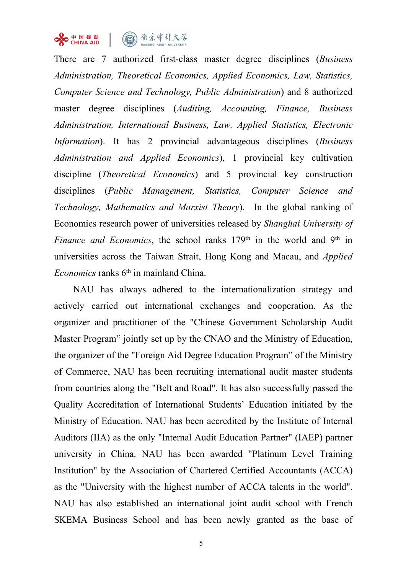

There are 7 authorized first-class master degree disciplines (*Business Administration, Theoretical Economics, Applied Economics, Law, Statistics, Computer Science and Technology, Public Administration*) and 8 authorized master degree disciplines (*Auditing, Accounting, Finance, Business Administration, International Business, Law, Applied Statistics, Electronic Information*). It has 2 provincial advantageous disciplines (*Business Administration and Applied Economics*), 1 provincial key cultivation discipline (*Theoretical Economics*) and 5 provincial key construction disciplines (*Public Management, Statistics, Computer Science and Technology, Mathematics and Marxist Theory*)*.* In the global ranking of Economics research power of universities released by *Shanghai University of Finance and Economics*, the school ranks 179<sup>th</sup> in the world and 9<sup>th</sup> in in universities across the Taiwan Strait, Hong Kong and Macau, and *Applied* Economics ranks 6<sup>th</sup> in mainland China.

NAU has always adhered to the internationalization strategy and actively carried out international exchanges and cooperation. As the organizer and practitioner of the "Chinese Government Scholarship Audit Master Program" jointly set up by the CNAO and the Ministry of Education, the organizer of the "Foreign Aid Degree Education Program" of the Ministry of Commerce, NAU has been recruiting international audit master students from countries along the "Belt and Road". It has also successfully passed the Quality Accreditation of International Students' Education initiated by the Ministry of Education. NAU has been accredited by the Institute of Internal Auditors (IIA) as the only "Internal Audit Education Partner" (IAEP) partner university in China. NAU has been awarded "Platinum Level Training Institution" by the Association of Chartered Certified Accountants (ACCA) as the "University with the highest number of ACCA talents in the world". NAU has also established an international joint audit school with French SKEMA Business School and has been newly granted as the base of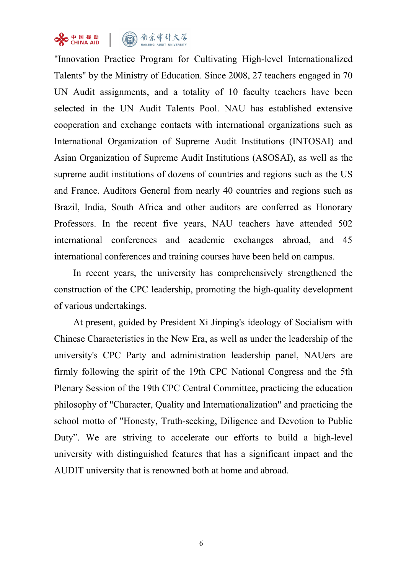

"Innovation Practice Program for Cultivating High-level Internationalized Talents" by the Ministry of Education. Since 2008, 27 teachers engaged in 70 UN Audit assignments, and a totality of 10 faculty teachers have been selected in the UN Audit Talents Pool. NAU has established extensive cooperation and exchange contacts with international organizations such as International Organization of Supreme Audit Institutions (INTOSAI) and Asian Organization of Supreme Audit Institutions (ASOSAI), as well as the supreme audit institutions of dozens of countries and regions such as the US and France. Auditors General from nearly 40 countries and regions such as Brazil, India, South Africa and other auditors are conferred as Honorary Professors. In the recent five years, NAU teachers have attended 502 international conferences and academic exchanges abroad, and 45

international conferences and training courses have been held on campus.<br>In recent years, the university has comprehensively strengthened the construction of the CPC leadership, promoting the high-quality development of various undertakings.

At present, guided by President Xi Jinping's ideology of Socialism with Chinese Characteristics in the New Era, as well as under the leadership of the university's CPC Party and administration leadership panel, NAUers are firmly following the spirit of the 19th CPC National Congress and the 5th Plenary Session of the 19th CPC Central Committee, practicing the education philosophy of "Character, Quality and Internationalization" and practicing the school motto of "Honesty, Truth-seeking, Diligence and Devotion to Public Duty". We are striving to accelerate our efforts to build a high-level university with distinguished features that has a significant impact and the AUDIT university that is renowned both at home and abroad.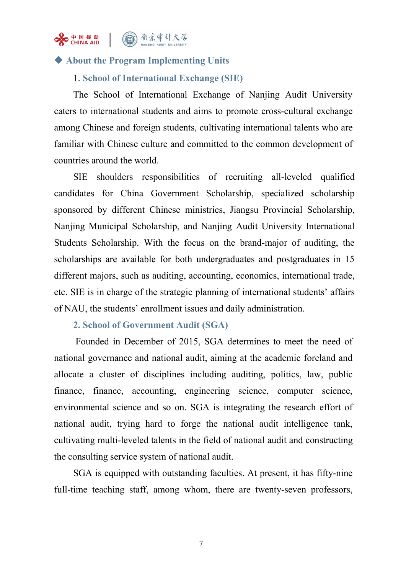

### ◆ **About the Program Implementing Units**

#### 1. **School of International Exchange (SIE)**

The School of International Exchange of Nanjing Audit University caters to international students and aims to promote cross-cultural exchange among Chinese and foreign students, cultivating international talents who are familiar with Chinese culture and committed to the common development of countries around the world.

SIE shoulders responsibilities of recruiting all-leveled qualified candidates for China Government Scholarship, specialized scholarship sponsored by different Chinese ministries, Jiangsu Provincial Scholarship, Nanjing Municipal Scholarship, and Nanjing Audit University International Students Scholarship. With the focus on the brand-major of auditing, the scholarships are available for both undergraduates and postgraduates in 15 different majors, such as auditing, accounting, economics, international trade, etc. SIE is in charge of the strategic planning of international students' affairs of NAU, the students' enrollment issues and daily administration.

#### **2. School of Government Audit (SGA)**

Founded in December of 2015, SGA determines to meet the need of national governance and national audit, aiming at the academic foreland and allocate a cluster of disciplines including auditing, politics, law, public finance, finance, accounting, engineering science, computer science, environmental science and so on. SGA is integrating the research effort of national audit, trying hard to forge the national audit intelligence tank, cultivating multi-leveled talents in the field of national audit and constructing the consulting service system of national audit.

SGA is equipped with outstanding faculties. At present, it has fifty-nine full-time teaching staff, among whom, there are twenty-seven professors,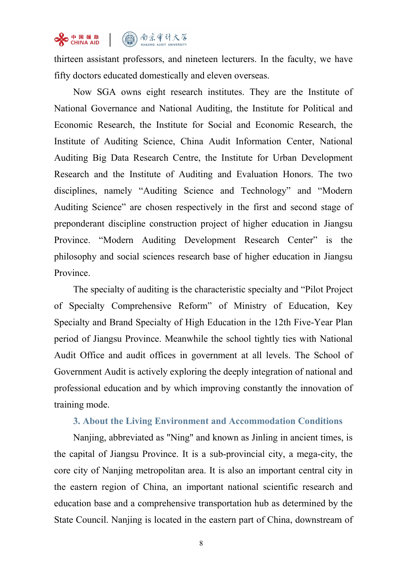# SHINAAD (4) 南京审计大学

thirteen assistant professors, and nineteen lecturers. In the faculty, we have fifty doctors educated domestically and eleven overseas.

Now SGA owns eight research institutes. They are the Institute of National Governance and National Auditing, the Institute for Political and Economic Research, the Institute for Social and Economic Research, the Institute of Auditing Science, China Audit Information Center, National Auditing Big Data Research Centre, the Institute for Urban Development Research and the Institute of Auditing and Evaluation Honors. The two disciplines, namely "Auditing Science and Technology" and "Modern Auditing Science" are chosen respectively in the first and second stage of preponderant discipline construction project of higher education in Jiangsu Province. "Modern Auditing Development Research Center" is the philosophy and social sciences research base of higher education in Jiangsu Province.

The specialty of auditing is the characteristic specialty and "Pilot Project of Specialty Comprehensive Reform" of Ministry of Education, Key Specialty and Brand Specialty of High Education in the 12th Five-Year Plan period of Jiangsu Province. Meanwhile the school tightly ties with National Audit Office and audit offices in government at all levels. The School of Government Audit is actively exploring the deeply integration of national and professional education and by which improving constantly the innovation of training mode.

#### **3. About the Living Environment and Accommodation Conditions**

Nanjing, abbreviated as "Ning" and known as Jinling in ancient times, is the capital of Jiangsu Province. It is a sub-provincial city, a mega-city, the core city of Nanjing metropolitan area. It is also an important central city in the eastern region of China, an important national scientific research and education base and a comprehensive transportation hub as determined by the State Council. Nanjing is located in the eastern part of China, downstream of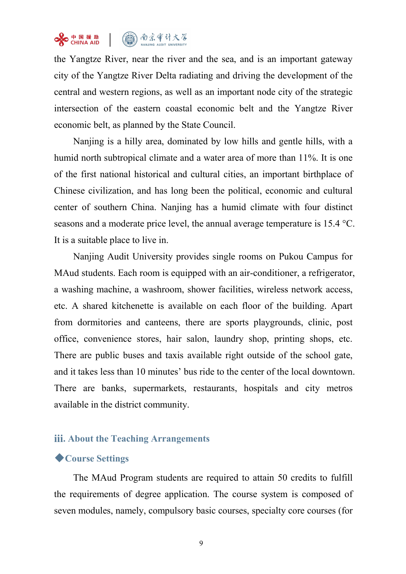# SHINAAD (4) 南京审计大学

the Yangtze River, near the river and the sea, and is an important gateway city of the Yangtze River Delta radiating and driving the development of the central and western regions, as well as an important node city of the strategic intersection of the eastern coastal economic belt and the Yangtze River economic belt, as planned by the State Council.

Nanjing is a hilly area, dominated by low hills and gentle hills, with a humid north subtropical climate and a water area of more than 11%. It is one of the first national historical and cultural cities, an important birthplace of Chinese civilization, and has long been the political, economic and cultural center of southern China. Nanjing has a humid climate with four distinct seasons and a moderate price level, the annual average temperature is 15.4 °C. It is a suitable place to live in.

Nanjing Audit University provides single rooms on Pukou Campus for MAud students. Each room is equipped with an air-conditioner, a refrigerator, a washing machine, a washroom, shower facilities, wireless network access, etc. A shared kitchenette is available on each floor of the building. Apart from dormitories and canteens, there are sports playgrounds, clinic, post office, convenience stores, hair salon, laundry shop, printing shops, etc. There are public buses and taxis available right outside of the school gate, and it takes less than 10 minutes' bus ride to the center of the local downtown. There are banks, supermarkets, restaurants, hospitals and city metros available in the district community.

### **iii. About the Teaching Arrangements**

#### ◆**Course Settings**

The MAud Program students are required to attain 50 credits to fulfill the requirements of degree application. The course system is composed of seven modules, namely, compulsory basic courses, specialty core courses (for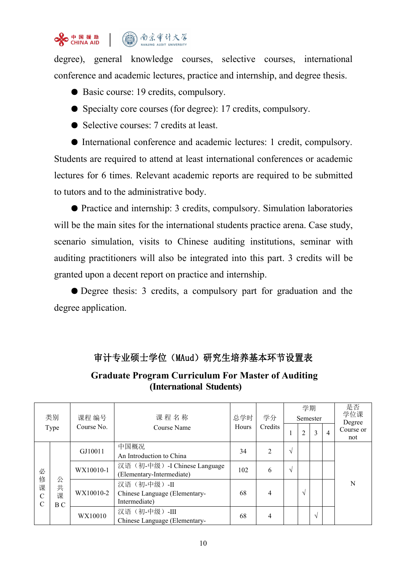

degree), general knowledge courses, selective courses, international conference and academic lectures, practice and internship, and degree thesis.

- Basic course: 19 credits, compulsory.
- Specialty core courses (for degree): 17 credits, compulsory.
- Selective courses: 7 credits at least.

● International conference and academic lectures: 1 credit, compulsory. Students are required to attend at least international conferences or academic lectures for 6 times. Relevant academic reports are required to be submitted to tutors and to the administrative body.

● Practice and internship: 3 credits, compulsory. Simulation laboratories will be the main sites for the international students practice arena. Case study, scenario simulation, visits to Chinese auditing institutions, seminar with auditing practitioners will also be integrated into this part. 3 credits will be granted upon a decent report on practice and internship.

● Degree thesis: 3 credits, a compulsory part for graduation and the degree application.

### 审计专业硕士学位(MAud)研究生培养基本环节设置表

### **Graduate Program Curriculum For Master of Auditing (International Students)**

| 类别<br>Type                                |                          | 课程 编号<br>Course No. | 课程名称<br>Course Name                                           | 总学时<br>Hours | 学分<br>Credits  | 学期<br>Semester |                |                | 是否<br>学位课<br>Degree |                  |
|-------------------------------------------|--------------------------|---------------------|---------------------------------------------------------------|--------------|----------------|----------------|----------------|----------------|---------------------|------------------|
|                                           |                          |                     |                                                               |              |                |                | $\overline{2}$ | $\mathfrak{Z}$ | $\overline{4}$      | Course or<br>not |
| 必<br>修<br>课<br>$\mathbf C$<br>$\mathbf C$ |                          | GJ10011             | 中国概况<br>An Introduction to China                              | 34           | $\overline{2}$ | $\Delta$       |                |                |                     | N                |
|                                           | 公<br>共<br>课<br><b>BC</b> | WX10010-1           | 汉语(初-中级) -I Chinese Language<br>(Elementary-Intermediate)     | 102          | 6              | $\Delta$       |                |                |                     |                  |
|                                           |                          | WX10010-2           | 汉语(初-中级)-II<br>Chinese Language (Elementary-<br>Intermediate) | 68           | $\overline{4}$ |                | $\sqrt{ }$     |                |                     |                  |
|                                           |                          | WX10010             | 汉语(初-中级)-III<br>Chinese Language (Elementary-                 | 68           | $\overline{4}$ |                |                | $\sqrt{ }$     |                     |                  |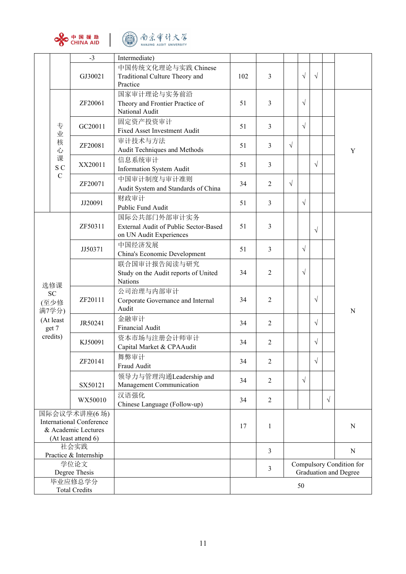



|                                                                               | 中国援助<br>CHINA AID | 南京审计大学<br>闸<br>NANJING AUDIT UNIVERSITY                                          |     |                                                                     |            |            |            |           |             |  |  |
|-------------------------------------------------------------------------------|-------------------|----------------------------------------------------------------------------------|-----|---------------------------------------------------------------------|------------|------------|------------|-----------|-------------|--|--|
|                                                                               | $-3$              | Intermediate)                                                                    |     |                                                                     |            |            |            |           |             |  |  |
|                                                                               | GJ30021           | 中国传统文化理论与实践 Chinese<br>Traditional Culture Theory and<br>Practice                | 102 | 3                                                                   |            | $\sqrt{}$  | $\sqrt{}$  |           |             |  |  |
|                                                                               | ZF20061           | 国家审计理论与实务前沿<br>Theory and Frontier Practice of<br>National Audit                 | 51  | 3                                                                   |            | $\sqrt{}$  |            |           |             |  |  |
| 专<br>业                                                                        | GC20011           | 固定资产投资审计<br>Fixed Asset Investment Audit                                         | 51  | $\mathfrak{Z}$                                                      |            | $\sqrt{}$  |            |           |             |  |  |
| 核<br>心                                                                        | ZF20081           | 审计技术与方法<br>Audit Techniques and Methods                                          | 51  | $\mathfrak{Z}$                                                      | $\sqrt{ }$ |            |            |           | $\mathbf Y$ |  |  |
| 课<br>S C                                                                      | XX20011           | 信息系统审计<br>Information System Audit                                               | 51  | 3                                                                   |            |            | $\sqrt{ }$ |           |             |  |  |
| ${\bf C}$                                                                     | ZF20071           | 中国审计制度与审计准则<br>Audit System and Standards of China                               | 34  | 2                                                                   | $\sqrt{ }$ |            |            |           |             |  |  |
|                                                                               | JJ20091           | 财政审计<br>Public Fund Audit                                                        | 51  | 3                                                                   |            | $\sqrt{}$  |            |           |             |  |  |
|                                                                               | ZF50311           | 国际公共部门外部审计实务<br>External Audit of Public Sector-Based<br>on UN Audit Experiences | 51  | 3                                                                   |            |            | $\sqrt{}$  |           |             |  |  |
|                                                                               | JJ50371           | 中国经济发展<br>China's Economic Development                                           | 51  | 3                                                                   |            | $\sqrt{}$  |            |           |             |  |  |
| 选修课                                                                           |                   | 联合国审计报告阅读与研究<br>Study on the Audit reports of United<br><b>Nations</b>           | 34  | $\overline{2}$                                                      |            | $\sqrt{}$  |            |           |             |  |  |
| <b>SC</b><br>(至少修<br>满7学分)                                                    | ZF20111           | 公司治理与内部审计<br>Corporate Governance and Internal<br>Audit                          | 34  | 2                                                                   |            |            | $\sqrt{}$  |           | $\mathbf N$ |  |  |
| (At least<br>get 7                                                            | JR50241           | 金融审计<br>Financial Audit                                                          | 34  | $\overline{2}$                                                      |            |            | $\sqrt{}$  |           |             |  |  |
| credits)                                                                      | KJ50091           | 资本市场与注册会计师审计<br>Capital Market & CPAAudit                                        | 34  | $\overline{2}$                                                      |            |            | $\sqrt{}$  |           |             |  |  |
|                                                                               | ZF20141           | 舞弊审计<br>Fraud Audit                                                              | 34  | $\overline{2}$                                                      |            |            | $\sqrt{ }$ |           |             |  |  |
|                                                                               | SX50121           | 领导力与管理沟通Leadership and<br>Management Communication                               | 34  | 2                                                                   |            | $\sqrt{ }$ |            |           |             |  |  |
|                                                                               | WX50010           | 汉语强化<br>Chinese Language (Follow-up)                                             | 34  | $\sqrt{2}$                                                          |            |            |            | $\sqrt{}$ |             |  |  |
| 国际会议学术讲座(6场)                                                                  |                   |                                                                                  |     |                                                                     |            |            |            |           |             |  |  |
| <b>International Conference</b><br>& Academic Lectures<br>(At least attend 6) |                   |                                                                                  | 17  | $\mathbf{1}$                                                        |            |            |            |           | ${\bf N}$   |  |  |
| 社会实践                                                                          |                   |                                                                                  |     |                                                                     |            |            |            |           |             |  |  |
| Practice & Internship                                                         |                   |                                                                                  |     | 3                                                                   |            |            |            |           | ${\bf N}$   |  |  |
| 学位论文<br>Degree Thesis                                                         |                   |                                                                                  |     | Compulsory Condition for<br>$\mathfrak{Z}$<br>Graduation and Degree |            |            |            |           |             |  |  |
| 毕业应修总学分<br><b>Total Credits</b>                                               |                   |                                                                                  |     |                                                                     |            | 50         |            |           |             |  |  |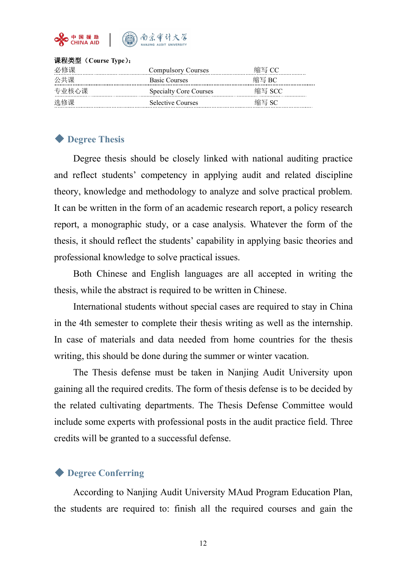

#### 课程类型(**Course Type**):

| 必修课   | Compulsory Courses            | 缩写CC<br>   |
|-------|-------------------------------|------------|
| 公共课   | <b>Basic Courses</b>          | 缩写 RC      |
| 专业核心课 | <b>Specialty Core Courses</b> | 缩写 SCC<br> |
| 选修课   | <b>Selective Courses</b>      | 缩写         |

### ◆ **Degree Thesis**

Degree thesis should be closely linked with national auditing practice and reflect students' competency in applying audit and related discipline theory, knowledge and methodology to analyze and solve practical problem. It can be written in the form of an academic research report, a policy research report, a monographic study, or a case analysis. Whatever the form of the thesis, it should reflect the students' capability in applying basic theories and professional knowledge to solve practical issues.

Both Chinese and English languages are all accepted in writing the thesis, while the abstract is required to be written in Chinese.

International students without special cases are required to stay in China in the 4th semester to complete their thesis writing as well as the internship. In case of materials and data needed from home countries for the thesis writing, this should be done during the summer or winter vacation.

The Thesis defense must be taken in Nanjing Audit University upon gaining all the required credits. The form of thesis defense is to be decided by the related cultivating departments. The Thesis Defense Committee would include some experts with professional posts in the audit practice field. Three credits will be granted to a successful defense.

#### ◆ **Degree Conferring**

According to Nanjing Audit University MAud Program Education Plan, the students are required to: finish all the required courses and gain the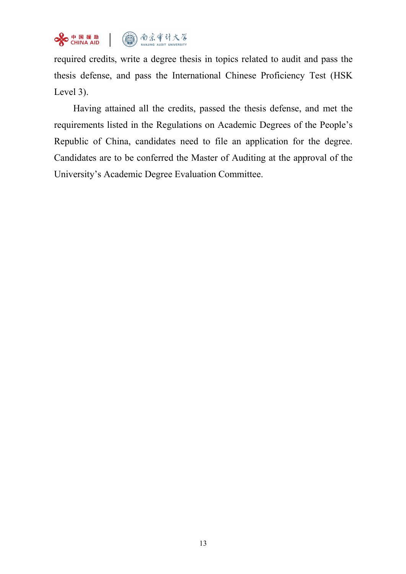

required credits, write a degree thesis in topics related to audit and pass the thesis defense, and pass the International Chinese Proficiency Test (HSK Level 3).

Having attained all the credits, passed the thesis defense, and met the requirements listed in the Regulations on Academic Degrees of the People's Republic of China, candidates need to file an application for the degree. Candidates are to be conferred the Master of Auditing at the approval of the University's Academic Degree Evaluation Committee.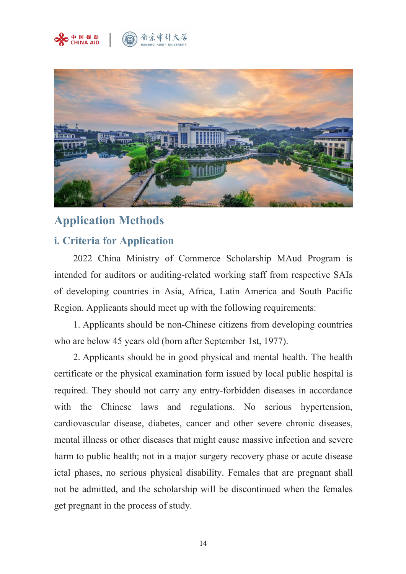



# **Application Methods**

# **i. Criteria for Application**

2022 China Ministry of Commerce Scholarship MAud Program is intended for auditors or auditing-related working staff from respective SAIs of developing countries in Asia, Africa, Latin America and South Pacific Region. Applicants should meet up with the following requirements:

1. Applicants should be non-Chinese citizens from developing countries who are below 45 years old (born after September 1st, 1977).

2. Applicants should be in good physical and mental health. The health certificate or the physical examination form issued by local public hospital is required. They should not carry any entry-forbidden diseases in accordance with the Chinese laws and regulations. No serious hypertension, cardiovascular disease, diabetes, cancer and other severe chronic diseases, mental illness or other diseases that might cause massive infection and severe harm to public health; not in a major surgery recovery phase or acute disease ictal phases, no serious physical disability. Females that are pregnant shall not be admitted, and the scholarship will be discontinued when the females get pregnant in the process of study.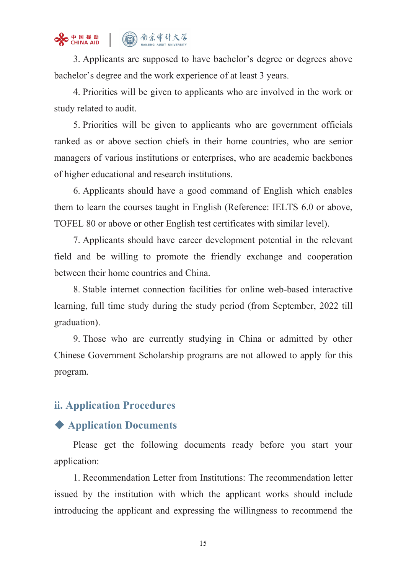

3. Applicants are supposed to have bachelor's degree or degrees above bachelor's degree and the work experience of at least 3 years.

4. Priorities will be given to applicants who are involved in the work or study related to audit.

5. Priorities will be given to applicants who are government officials ranked as or above section chiefs in their home countries, who are senior managers of various institutions or enterprises, who are academic backbones of higher educational and research institutions.

6. Applicants should have a good command of English which enables them to learn the courses taught in English (Reference: IELTS 6.0 or above, TOFEL 80 or above or other English test certificates with similar level).

7. Applicants should have career development potential in the relevant field and be willing to promote the friendly exchange and cooperation between their home countries and China.

8. Stable internet connection facilities for online web-based interactive learning, full time study during the study period (from September, 2022 till graduation).

9. Those who are currently studying in China or admitted by other Chinese Government Scholarship programs are not allowed to apply for this program.

# **ii. Application Procedures**

# ◆ **Application Documents**

Please get the following documents ready before you start your application:

1. Recommendation Letter from Institutions: The recommendation letter issued by the institution with which the applicant works should include introducing the applicant and expressing the willingness to recommend the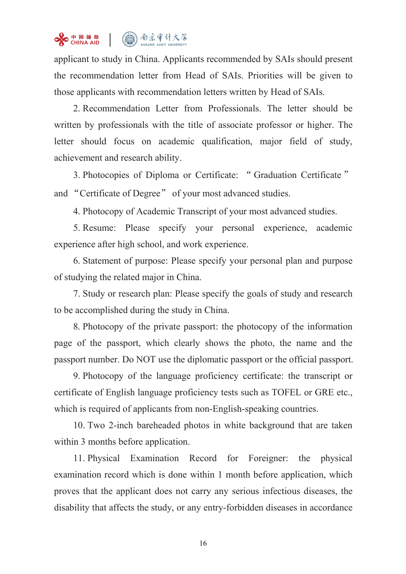# St HI HE 助 (1) 南京审计大学

applicant to study in China. Applicants recommended by SAIs should present the recommendation letter from Head of SAIs. Priorities will be given to those applicants with recommendation letters written by Head of SAIs.

2. Recommendation Letter from Professionals. The letter should be written by professionals with the title of associate professor or higher. The letter should focus on academic qualification, major field of study, achievement and research ability.

3. Photocopies of Diploma or Certificate: " Graduation Certificate " and "Certificate of Degree" of your most advanced studies.

4. Photocopy of Academic Transcript of your most advanced studies.

5. Resume: Please specify your personal experience, academic experience after high school, and work experience.<br>6. Statement of purpose: Please specify your personal plan and purpose

of studying the related major in China.

7. Study or research plan: Please specify the goals of study and research to be accomplished during the study in China.

8. Photocopy of the private passport: the photocopy of the information page of the passport, which clearly shows the photo, the name and the passport number. Do NOT use the diplomatic passport or the official passport.

9. Photocopy of the language proficiency certificate: the transcript or certificate of English language proficiency tests such as TOFEL or GRE etc., which is required of applicants from non-English-speaking countries.

10. Two 2-inch bareheaded photos in white background that are taken within 3 months before application.

11. Physical Examination Record for Foreigner: the physical examination record which is done within 1 month before application, which proves that the applicant does not carry any serious infectious diseases, the disability that affects the study, or any entry-forbidden diseases in accordance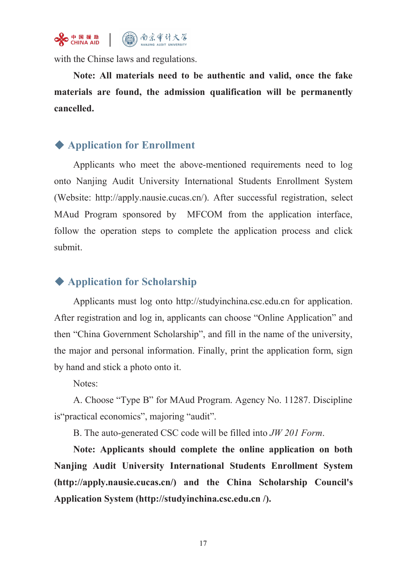

with the Chinse laws and regulations.

**Note: All materials need to be authentic and valid, once the fake materials are found, the admission qualification will be permanently cancelled.**

# ◆ **Application for Enrollment**

Applicants who meet the above-mentioned requirements need to log onto Nanjing Audit University International Students Enrollment System (Website: http://apply.nausie.cucas.cn/). After successful registration, select MAud Program sponsored by MFCOM from the application interface, follow the operation steps to complete the application process and click submit.

# ◆ **Application for Scholarship**

Applicants must log onto <http://studyinchina.csc.edu.cn> for application. After registration and log in, applicants can choose "Online Application" and then "China Government Scholarship", and fill in the name of the university, the major and personal information. Finally, print the application form, sign by hand and stick a photo onto it.

Notes:

A. Choose "Type B" for MAud Program. Agency No. 11287. Discipline is"practical economics", majoring "audit".

B. The auto-generated CSC code will be filled into *JW 201 Form*.

**Note: Applicants should complete the online application on both Nanjing Audit University International Students Enrollment System (http://apply.nausie.cucas.cn/) and the China Scholarship Council's Application System (http://studyinchina.csc.edu.cn /).**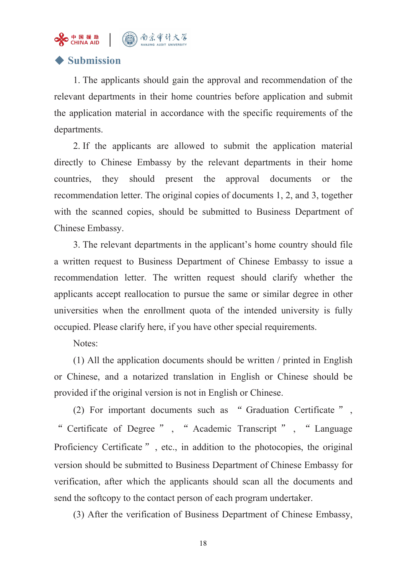

# ◆ **Submission**

1. The applicants should gain the approval and recommendation of the relevant departments in their home countries before application and submit the application material in accordance with the specific requirements of the departments.

2. If the applicants are allowed to submit the application material directly to Chinese Embassy by the relevant departments in their home countries, they should present the approval documents or the recommendation letter. The original copies of documents 1, 2, and 3, together with the scanned copies, should be submitted to Business Department of Chinese Embassy.

3. The relevant departments in the applicant's home country should file a written request to Business Department of Chinese Embassy to issue a recommendation letter. The written request should clarify whether the applicants accept reallocation to pursue the same or similar degree in other universities when the enrollment quota of the intended university is fully occupied. Please clarify here, if you have other special requirements.

Notes:

(1) All the application documents should be written / printed in English or Chinese, and a notarized translation in English or Chinese should be provided if the original version is not in English or Chinese.<br>(2) For important documents such as " Graduation Certificate " ,

" Certificate of Degree " , " Academic Transcript " , " Language Proficiency Certificate", etc., in addition to the photocopies, the original version should be submitted to Business Department of Chinese Embassy for verification, after which the applicants should scan all the documents and send the softcopy to the contact person of each program undertaker.

(3) After the verification of Business Department of Chinese Embassy,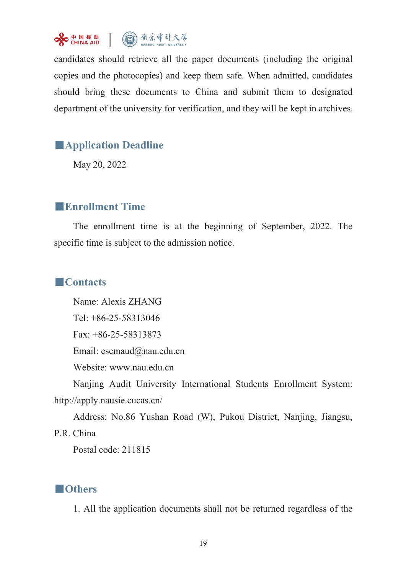

candidates should retrieve all the paper documents (including the original copies and the photocopies) and keep them safe. When admitted, candidates should bring these documents to China and submit them to designated department of the university for verification, and they will be kept in archives.

# ■**Application Deadline**

May 20, 2022

## ■**Enrollment Time**

The enrollment time is at the beginning of September, 2022. The specific time is subject to the admission notice.

### ■**Contacts**

Name: Alexis ZHANG Tel: +86-25-58313046 Fax: +86-25-58313873 Email: [cscmaud@nau.edu.cn](mailto:cscmaud@nau.edu.cn) Website: [www.nau.edu.cn](http://www.nau.edu.cn) Nanjing Audit University International Students Enrollment System: http://apply.nausie.cucas.cn/

Address: No.86 Yushan Road (W), Pukou District, Nanjing, Jiangsu,

P.R. China

Postal code: 211815

# ■**Others**

1. All the application documents shall not be returned regardless of the